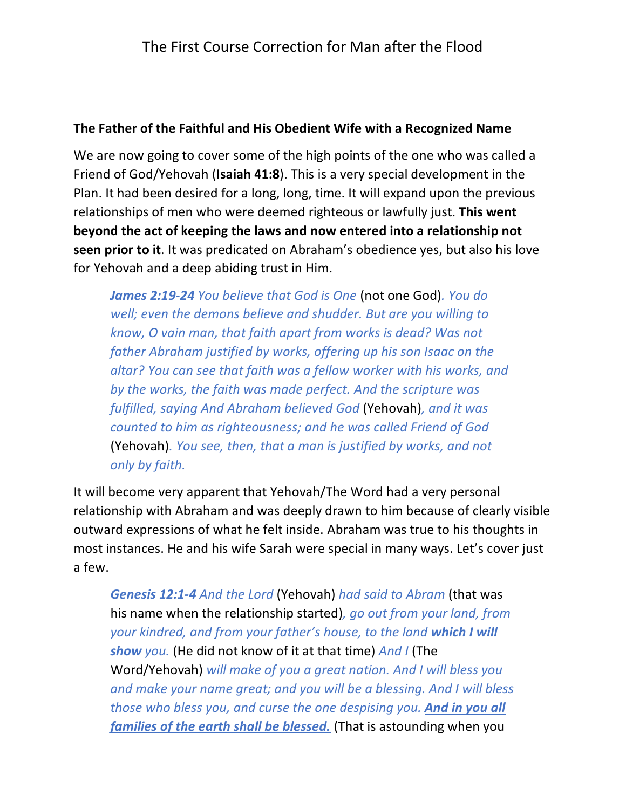#### **The Father of the Faithful and His Obedient Wife with a Recognized Name**

We are now going to cover some of the high points of the one who was called a Friend of God/Yehovah (**Isaiah 41:8**). This is a very special development in the Plan. It had been desired for a long, long, time. It will expand upon the previous relationships of men who were deemed righteous or lawfully just. **This went beyond the act of keeping the laws and now entered into a relationship not seen prior to it**. It was predicated on Abraham's obedience yes, but also his love for Yehovah and a deep abiding trust in Him.

*James 2:19-24 You believe that God is One* (not one God)*. You do well; even the demons believe and shudder. But are you willing to know, O vain man, that faith apart from works is dead? Was not father Abraham justified by works, offering up his son Isaac on the altar? You can see that faith was a fellow worker with his works, and by the works, the faith was made perfect. And the scripture was fulfilled, saying And Abraham believed God* (Yehovah)*, and it was counted to him as righteousness; and he was called Friend of God*  (Yehovah)*. You see, then, that a man is justified by works, and not only by faith.*

It will become very apparent that Yehovah/The Word had a very personal relationship with Abraham and was deeply drawn to him because of clearly visible outward expressions of what he felt inside. Abraham was true to his thoughts in most instances. He and his wife Sarah were special in many ways. Let's cover just a few.

*Genesis 12:1-4 And the Lord* (Yehovah) *had said to Abram* (that was his name when the relationship started)*, go out from your land, from your kindred, and from your father's house, to the land which I will show you.* (He did not know of it at that time) *And I* (The Word/Yehovah) *will make of you a great nation. And I will bless you and make your name great; and you will be a blessing. And I will bless those who bless you, and curse the one despising you. And in you all families of the earth shall be blessed.* (That is astounding when you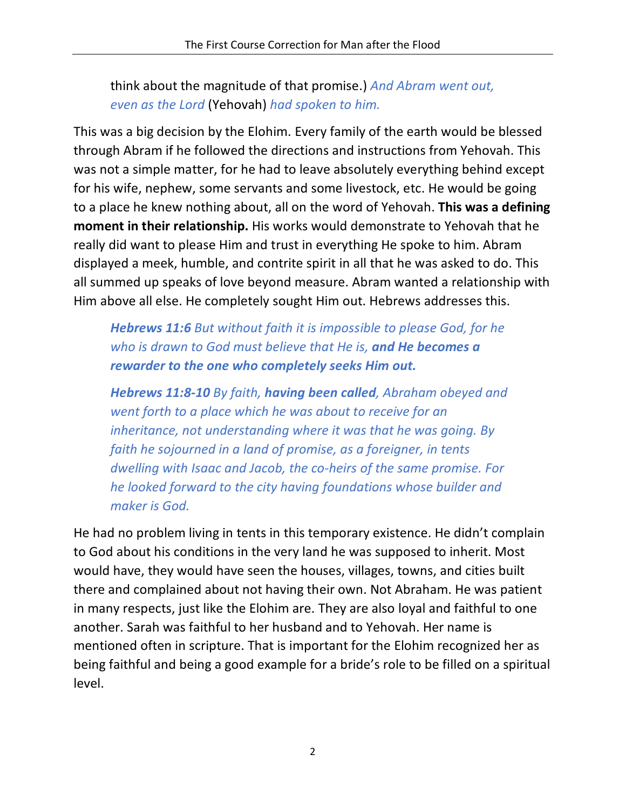think about the magnitude of that promise.) *And Abram went out, even as the Lord* (Yehovah) *had spoken to him.*

This was a big decision by the Elohim. Every family of the earth would be blessed through Abram if he followed the directions and instructions from Yehovah. This was not a simple matter, for he had to leave absolutely everything behind except for his wife, nephew, some servants and some livestock, etc. He would be going to a place he knew nothing about, all on the word of Yehovah. **This was a defining moment in their relationship.** His works would demonstrate to Yehovah that he really did want to please Him and trust in everything He spoke to him. Abram displayed a meek, humble, and contrite spirit in all that he was asked to do. This all summed up speaks of love beyond measure. Abram wanted a relationship with Him above all else. He completely sought Him out. Hebrews addresses this.

*Hebrews 11:6 But without faith it is impossible to please God, for he who is drawn to God must believe that He is, and He becomes a rewarder to the one who completely seeks Him out.*

*Hebrews 11:8-10 By faith, having been called, Abraham obeyed and went forth to a place which he was about to receive for an inheritance, not understanding where it was that he was going. By faith he sojourned in a land of promise, as a foreigner, in tents dwelling with Isaac and Jacob, the co-heirs of the same promise. For he looked forward to the city having foundations whose builder and maker is God.*

He had no problem living in tents in this temporary existence. He didn't complain to God about his conditions in the very land he was supposed to inherit. Most would have, they would have seen the houses, villages, towns, and cities built there and complained about not having their own. Not Abraham. He was patient in many respects, just like the Elohim are. They are also loyal and faithful to one another. Sarah was faithful to her husband and to Yehovah. Her name is mentioned often in scripture. That is important for the Elohim recognized her as being faithful and being a good example for a bride's role to be filled on a spiritual level.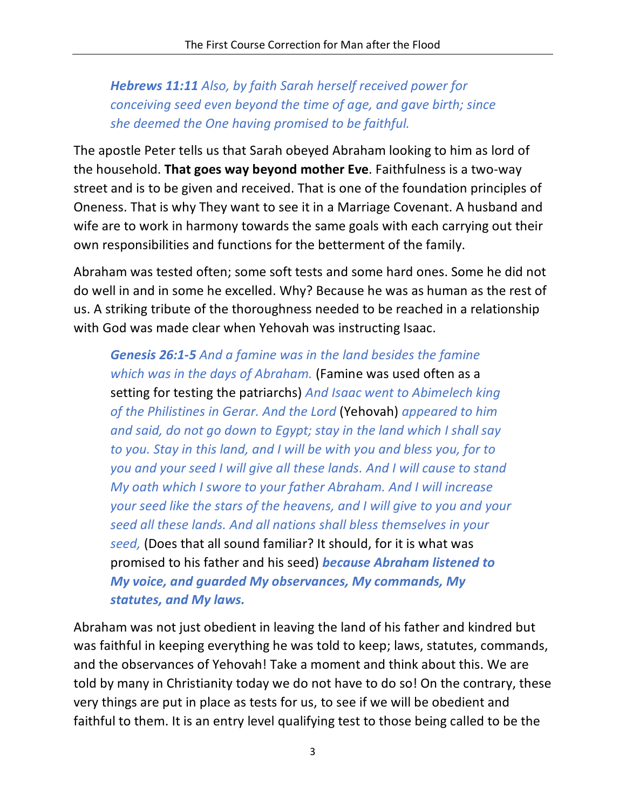*Hebrews 11:11 Also, by faith Sarah herself received power for conceiving seed even beyond the time of age, and gave birth; since she deemed the One having promised to be faithful.*

The apostle Peter tells us that Sarah obeyed Abraham looking to him as lord of the household. **That goes way beyond mother Eve**. Faithfulness is a two-way street and is to be given and received. That is one of the foundation principles of Oneness. That is why They want to see it in a Marriage Covenant. A husband and wife are to work in harmony towards the same goals with each carrying out their own responsibilities and functions for the betterment of the family.

Abraham was tested often; some soft tests and some hard ones. Some he did not do well in and in some he excelled. Why? Because he was as human as the rest of us. A striking tribute of the thoroughness needed to be reached in a relationship with God was made clear when Yehovah was instructing Isaac.

*Genesis 26:1-5 And a famine was in the land besides the famine which was in the days of Abraham.* (Famine was used often as a setting for testing the patriarchs) *And Isaac went to Abimelech king of the Philistines in Gerar. And the Lord* (Yehovah) *appeared to him and said, do not go down to Egypt; stay in the land which I shall say to you. Stay in this land, and I will be with you and bless you, for to you and your seed I will give all these lands. And I will cause to stand My oath which I swore to your father Abraham. And I will increase your seed like the stars of the heavens, and I will give to you and your seed all these lands. And all nations shall bless themselves in your seed,* (Does that all sound familiar? It should, for it is what was promised to his father and his seed) *because Abraham listened to My voice, and guarded My observances, My commands, My statutes, and My laws.*

Abraham was not just obedient in leaving the land of his father and kindred but was faithful in keeping everything he was told to keep; laws, statutes, commands, and the observances of Yehovah! Take a moment and think about this. We are told by many in Christianity today we do not have to do so! On the contrary, these very things are put in place as tests for us, to see if we will be obedient and faithful to them. It is an entry level qualifying test to those being called to be the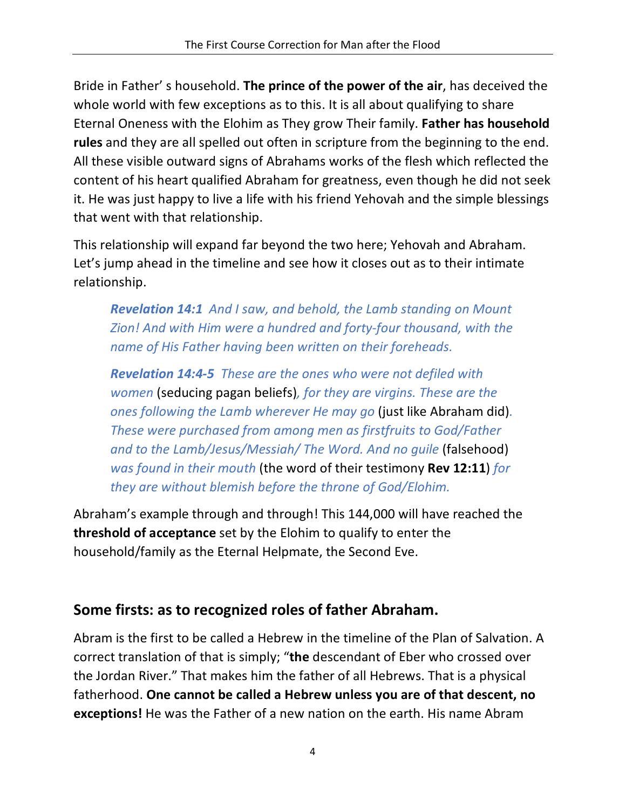Bride in Father' s household. **The prince of the power of the air**, has deceived the whole world with few exceptions as to this. It is all about qualifying to share Eternal Oneness with the Elohim as They grow Their family. **Father has household rules** and they are all spelled out often in scripture from the beginning to the end. All these visible outward signs of Abrahams works of the flesh which reflected the content of his heart qualified Abraham for greatness, even though he did not seek it. He was just happy to live a life with his friend Yehovah and the simple blessings that went with that relationship.

This relationship will expand far beyond the two here; Yehovah and Abraham. Let's jump ahead in the timeline and see how it closes out as to their intimate relationship.

*Revelation 14:1 And I saw, and behold, the Lamb standing on Mount Zion! And with Him were a hundred and forty-four thousand, with the name of His Father having been written on their foreheads.*

*Revelation 14:4-5 These are the ones who were not defiled with women* (seducing pagan beliefs)*, for they are virgins. These are the ones following the Lamb wherever He may go* (just like Abraham did)*. These were purchased from among men as firstfruits to God/Father*  and to the Lamb/Jesus/Messiah/ The Word. And no quile (falsehood) *was found in their mouth* (the word of their testimony **Rev 12:11**) *for they are without blemish before the throne of God/Elohim.*

Abraham's example through and through! This 144,000 will have reached the **threshold of acceptance** set by the Elohim to qualify to enter the household/family as the Eternal Helpmate, the Second Eve.

# **Some firsts: as to recognized roles of father Abraham.**

Abram is the first to be called a Hebrew in the timeline of the Plan of Salvation. A correct translation of that is simply; "**the** descendant of Eber who crossed over the Jordan River." That makes him the father of all Hebrews. That is a physical fatherhood. **One cannot be called a Hebrew unless you are of that descent, no exceptions!** He was the Father of a new nation on the earth. His name Abram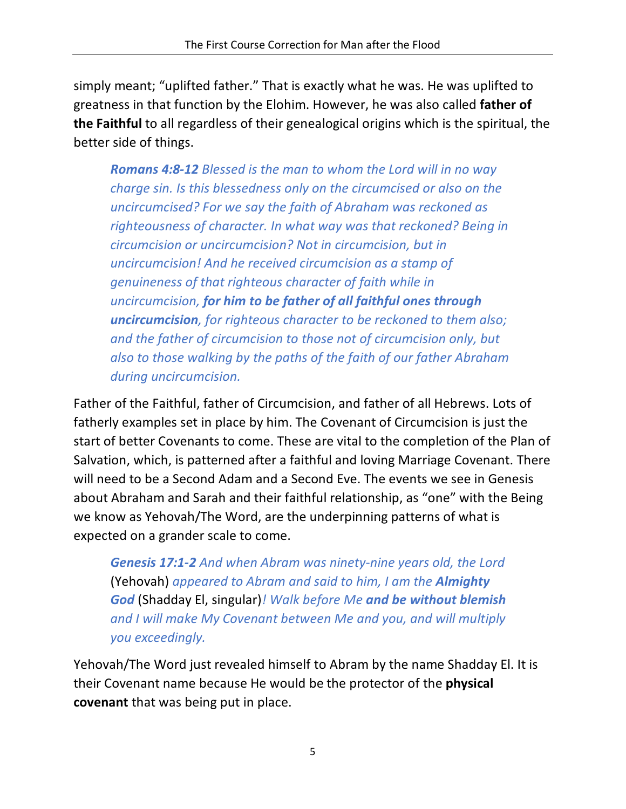simply meant; "uplifted father." That is exactly what he was. He was uplifted to greatness in that function by the Elohim. However, he was also called **father of the Faithful** to all regardless of their genealogical origins which is the spiritual, the better side of things.

*Romans 4:8-12 Blessed is the man to whom the Lord will in no way charge sin. Is this blessedness only on the circumcised or also on the uncircumcised? For we say the faith of Abraham was reckoned as righteousness of character. In what way was that reckoned? Being in circumcision or uncircumcision? Not in circumcision, but in uncircumcision! And he received circumcision as a stamp of genuineness of that righteous character of faith while in uncircumcision, for him to be father of all faithful ones through uncircumcision, for righteous character to be reckoned to them also; and the father of circumcision to those not of circumcision only, but also to those walking by the paths of the faith of our father Abraham during uncircumcision.*

Father of the Faithful, father of Circumcision, and father of all Hebrews. Lots of fatherly examples set in place by him. The Covenant of Circumcision is just the start of better Covenants to come. These are vital to the completion of the Plan of Salvation, which, is patterned after a faithful and loving Marriage Covenant. There will need to be a Second Adam and a Second Eve. The events we see in Genesis about Abraham and Sarah and their faithful relationship, as "one" with the Being we know as Yehovah/The Word, are the underpinning patterns of what is expected on a grander scale to come.

*Genesis 17:1-2 And when Abram was ninety-nine years old, the Lord*  (Yehovah) *appeared to Abram and said to him, I am the Almighty God* (Shadday El, singular)*! Walk before Me and be without blemish and I will make My Covenant between Me and you, and will multiply you exceedingly.*

Yehovah/The Word just revealed himself to Abram by the name Shadday El. It is their Covenant name because He would be the protector of the **physical covenant** that was being put in place.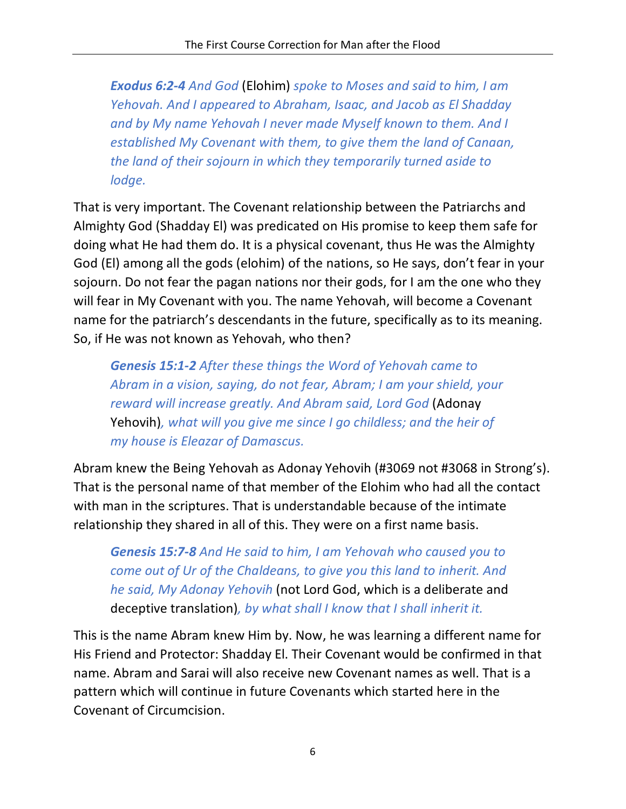*Exodus 6:2-4 And God* (Elohim) *spoke to Moses and said to him, I am Yehovah. And I appeared to Abraham, Isaac, and Jacob as El Shadday and by My name Yehovah I never made Myself known to them. And I established My Covenant with them, to give them the land of Canaan, the land of their sojourn in which they temporarily turned aside to lodge.*

That is very important. The Covenant relationship between the Patriarchs and Almighty God (Shadday El) was predicated on His promise to keep them safe for doing what He had them do. It is a physical covenant, thus He was the Almighty God (El) among all the gods (elohim) of the nations, so He says, don't fear in your sojourn. Do not fear the pagan nations nor their gods, for I am the one who they will fear in My Covenant with you. The name Yehovah, will become a Covenant name for the patriarch's descendants in the future, specifically as to its meaning. So, if He was not known as Yehovah, who then?

*Genesis 15:1-2 After these things the Word of Yehovah came to Abram in a vision, saying, do not fear, Abram; I am your shield, your reward will increase greatly. And Abram said, Lord God* (Adonay Yehovih)*, what will you give me since I go childless; and the heir of my house is Eleazar of Damascus.*

Abram knew the Being Yehovah as Adonay Yehovih (#3069 not #3068 in Strong's). That is the personal name of that member of the Elohim who had all the contact with man in the scriptures. That is understandable because of the intimate relationship they shared in all of this. They were on a first name basis.

*Genesis 15:7-8 And He said to him, I am Yehovah who caused you to come out of Ur of the Chaldeans, to give you this land to inherit. And he said, My Adonay Yehovih* (not Lord God, which is a deliberate and deceptive translation)*, by what shall I know that I shall inherit it.*

This is the name Abram knew Him by. Now, he was learning a different name for His Friend and Protector: Shadday El. Their Covenant would be confirmed in that name. Abram and Sarai will also receive new Covenant names as well. That is a pattern which will continue in future Covenants which started here in the Covenant of Circumcision.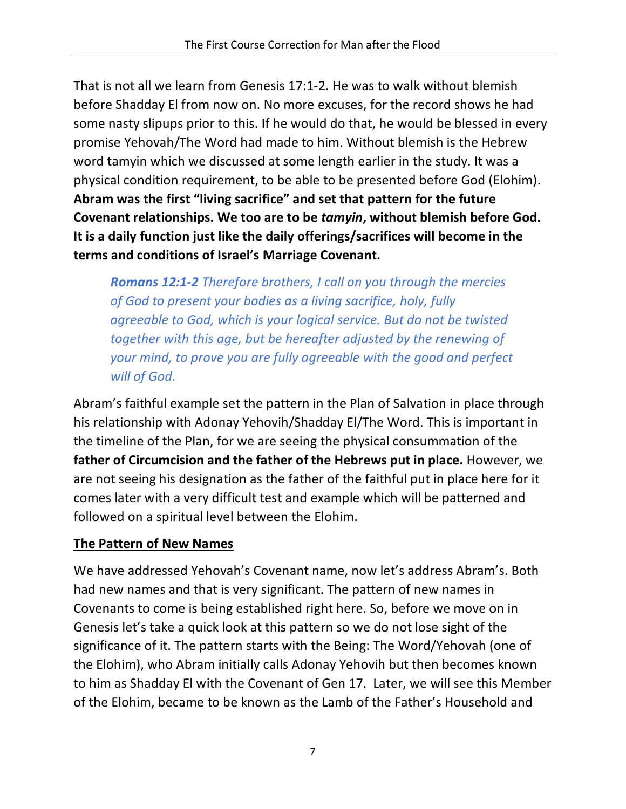That is not all we learn from Genesis 17:1-2. He was to walk without blemish before Shadday El from now on. No more excuses, for the record shows he had some nasty slipups prior to this. If he would do that, he would be blessed in every promise Yehovah/The Word had made to him. Without blemish is the Hebrew word tamyin which we discussed at some length earlier in the study. It was a physical condition requirement, to be able to be presented before God (Elohim). **Abram was the first "living sacrifice" and set that pattern for the future Covenant relationships. We too are to be** *tamyin***, without blemish before God. It is a daily function just like the daily offerings/sacrifices will become in the terms and conditions of Israel's Marriage Covenant.** 

*Romans 12:1-2 Therefore brothers, I call on you through the mercies of God to present your bodies as a living sacrifice, holy, fully agreeable to God, which is your logical service. But do not be twisted together with this age, but be hereafter adjusted by the renewing of your mind, to prove you are fully agreeable with the good and perfect will of God.*

Abram's faithful example set the pattern in the Plan of Salvation in place through his relationship with Adonay Yehovih/Shadday El/The Word. This is important in the timeline of the Plan, for we are seeing the physical consummation of the **father of Circumcision and the father of the Hebrews put in place.** However, we are not seeing his designation as the father of the faithful put in place here for it comes later with a very difficult test and example which will be patterned and followed on a spiritual level between the Elohim.

### **The Pattern of New Names**

We have addressed Yehovah's Covenant name, now let's address Abram's. Both had new names and that is very significant. The pattern of new names in Covenants to come is being established right here. So, before we move on in Genesis let's take a quick look at this pattern so we do not lose sight of the significance of it. The pattern starts with the Being: The Word/Yehovah (one of the Elohim), who Abram initially calls Adonay Yehovih but then becomes known to him as Shadday El with the Covenant of Gen 17. Later, we will see this Member of the Elohim, became to be known as the Lamb of the Father's Household and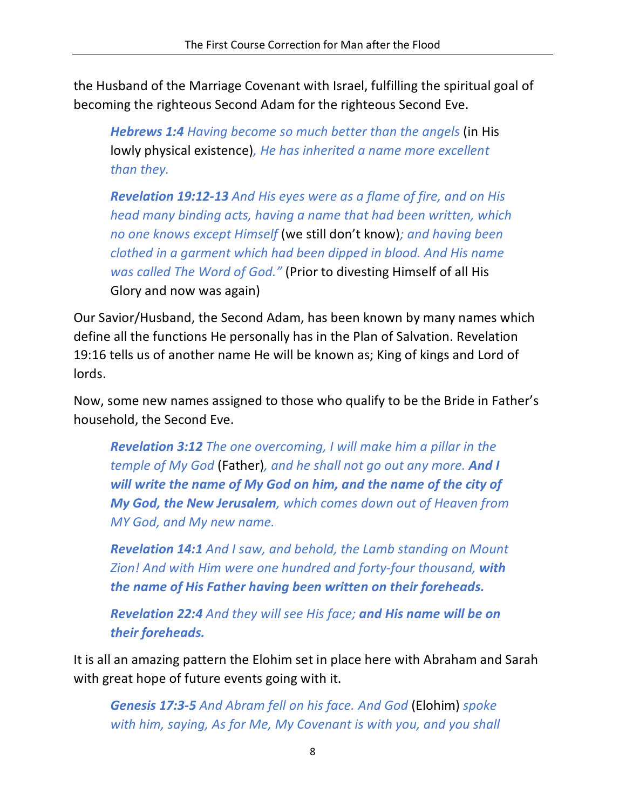the Husband of the Marriage Covenant with Israel, fulfilling the spiritual goal of becoming the righteous Second Adam for the righteous Second Eve.

*Hebrews 1:4 Having become so much better than the angels* (in His lowly physical existence)*, He has inherited a name more excellent than they.*

*Revelation 19:12-13 And His eyes were as a flame of fire, and on His head many binding acts, having a name that had been written, which no one knows except Himself* (we still don't know)*; and having been clothed in a garment which had been dipped in blood. And His name was called The Word of God."* (Prior to divesting Himself of all His Glory and now was again)

Our Savior/Husband, the Second Adam, has been known by many names which define all the functions He personally has in the Plan of Salvation. Revelation 19:16 tells us of another name He will be known as; King of kings and Lord of lords.

Now, some new names assigned to those who qualify to be the Bride in Father's household, the Second Eve.

*Revelation 3:12 The one overcoming, I will make him a pillar in the temple of My God* (Father)*, and he shall not go out any more. And I will write the name of My God on him, and the name of the city of My God, the New Jerusalem, which comes down out of Heaven from MY God, and My new name.*

*Revelation 14:1 And I saw, and behold, the Lamb standing on Mount Zion! And with Him were one hundred and forty-four thousand, with the name of His Father having been written on their foreheads.*

*Revelation 22:4 And they will see His face; and His name will be on their foreheads.*

It is all an amazing pattern the Elohim set in place here with Abraham and Sarah with great hope of future events going with it.

*Genesis 17:3-5 And Abram fell on his face. And God* (Elohim) *spoke with him, saying, As for Me, My Covenant is with you, and you shall*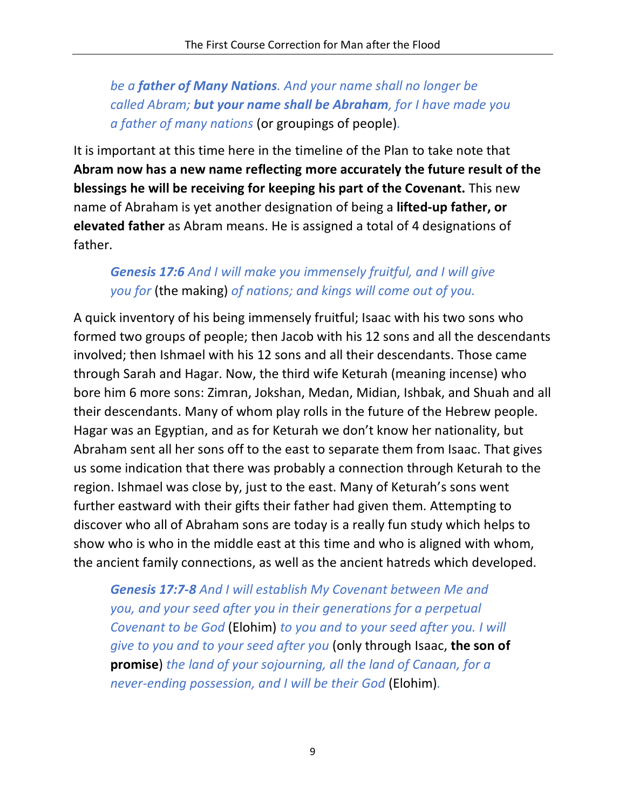*be a father of Many Nations. And your name shall no longer be called Abram; but your name shall be Abraham, for I have made you a father of many nations* (or groupings of people)*.*

It is important at this time here in the timeline of the Plan to take note that **Abram now has a new name reflecting more accurately the future result of the blessings he will be receiving for keeping his part of the Covenant.** This new name of Abraham is yet another designation of being a **lifted-up father, or elevated father** as Abram means. He is assigned a total of 4 designations of father.

### *Genesis 17:6 And I will make you immensely fruitful, and I will give you for* (the making) *of nations; and kings will come out of you.*

A quick inventory of his being immensely fruitful; Isaac with his two sons who formed two groups of people; then Jacob with his 12 sons and all the descendants involved; then Ishmael with his 12 sons and all their descendants. Those came through Sarah and Hagar. Now, the third wife Keturah (meaning incense) who bore him 6 more sons: Zimran, Jokshan, Medan, Midian, Ishbak, and Shuah and all their descendants. Many of whom play rolls in the future of the Hebrew people. Hagar was an Egyptian, and as for Keturah we don't know her nationality, but Abraham sent all her sons off to the east to separate them from Isaac. That gives us some indication that there was probably a connection through Keturah to the region. Ishmael was close by, just to the east. Many of Keturah's sons went further eastward with their gifts their father had given them. Attempting to discover who all of Abraham sons are today is a really fun study which helps to show who is who in the middle east at this time and who is aligned with whom, the ancient family connections, as well as the ancient hatreds which developed.

*Genesis 17:7-8 And I will establish My Covenant between Me and you, and your seed after you in their generations for a perpetual Covenant to be God* (Elohim) *to you and to your seed after you. I will give to you and to your seed after you* (only through Isaac, **the son of promise**) *the land of your sojourning, all the land of Canaan, for a never-ending possession, and I will be their God* (Elohim)*.*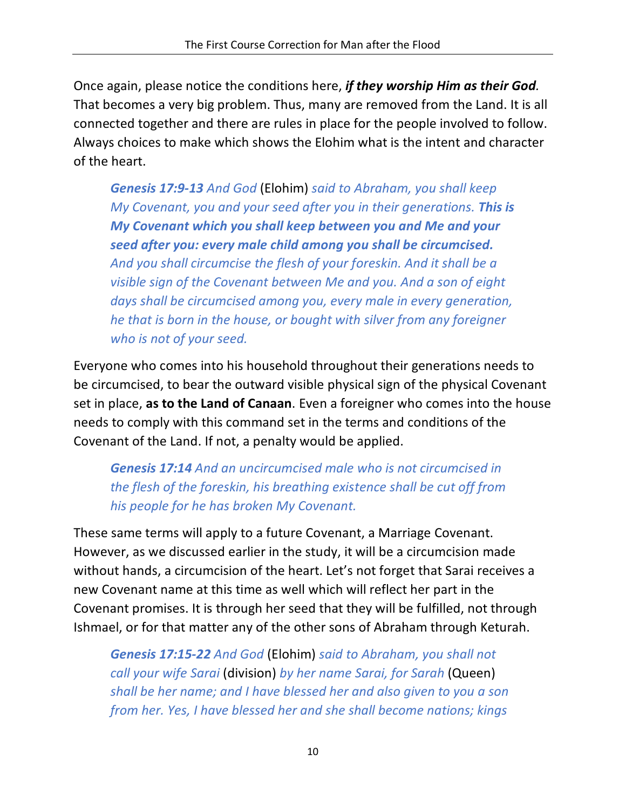Once again, please notice the conditions here, *if they worship Him as their God.* That becomes a very big problem. Thus, many are removed from the Land. It is all connected together and there are rules in place for the people involved to follow. Always choices to make which shows the Elohim what is the intent and character of the heart.

*Genesis 17:9-13 And God* (Elohim) *said to Abraham, you shall keep My Covenant, you and your seed after you in their generations. This is My Covenant which you shall keep between you and Me and your seed after you: every male child among you shall be circumcised. And you shall circumcise the flesh of your foreskin. And it shall be a visible sign of the Covenant between Me and you. And a son of eight days shall be circumcised among you, every male in every generation, he that is born in the house, or bought with silver from any foreigner who is not of your seed.*

Everyone who comes into his household throughout their generations needs to be circumcised, to bear the outward visible physical sign of the physical Covenant set in place, **as to the Land of Canaan**. Even a foreigner who comes into the house needs to comply with this command set in the terms and conditions of the Covenant of the Land. If not, a penalty would be applied.

*Genesis 17:14 And an uncircumcised male who is not circumcised in the flesh of the foreskin, his breathing existence shall be cut off from his people for he has broken My Covenant.*

These same terms will apply to a future Covenant, a Marriage Covenant. However, as we discussed earlier in the study, it will be a circumcision made without hands, a circumcision of the heart. Let's not forget that Sarai receives a new Covenant name at this time as well which will reflect her part in the Covenant promises. It is through her seed that they will be fulfilled, not through Ishmael, or for that matter any of the other sons of Abraham through Keturah.

*Genesis 17:15-22 And God* (Elohim) *said to Abraham, you shall not call your wife Sarai* (division) *by her name Sarai, for Sarah* (Queen) *shall be her name; and I have blessed her and also given to you a son from her. Yes, I have blessed her and she shall become nations; kings*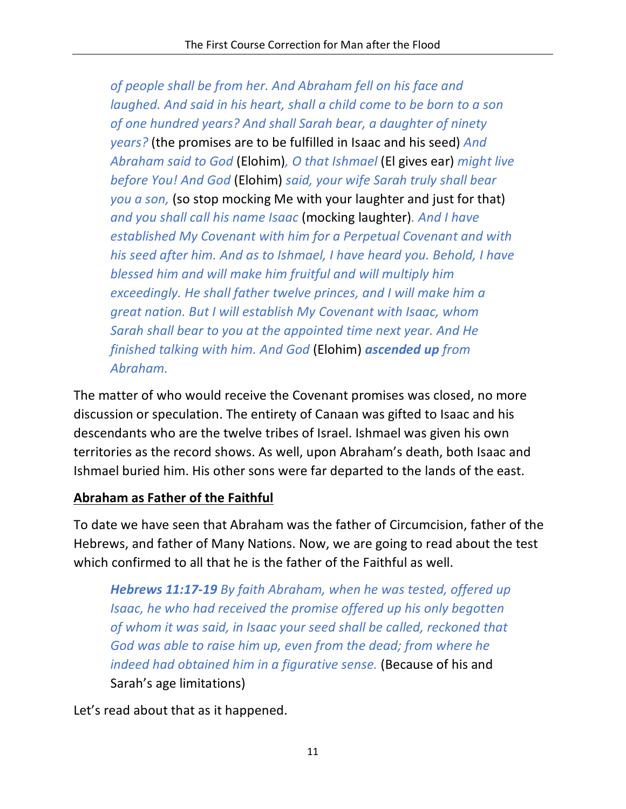*of people shall be from her. And Abraham fell on his face and laughed. And said in his heart, shall a child come to be born to a son of one hundred years? And shall Sarah bear, a daughter of ninety years?* (the promises are to be fulfilled in Isaac and his seed) *And Abraham said to God* (Elohim)*, O that Ishmael* (El gives ear) *might live before You! And God* (Elohim) *said, your wife Sarah truly shall bear you a son,* (so stop mocking Me with your laughter and just for that) *and you shall call his name Isaac* (mocking laughter)*. And I have established My Covenant with him for a Perpetual Covenant and with his seed after him. And as to Ishmael, I have heard you. Behold, I have blessed him and will make him fruitful and will multiply him exceedingly. He shall father twelve princes, and I will make him a great nation. But I will establish My Covenant with Isaac, whom Sarah shall bear to you at the appointed time next year. And He finished talking with him. And God* (Elohim) *ascended up from Abraham.*

The matter of who would receive the Covenant promises was closed, no more discussion or speculation. The entirety of Canaan was gifted to Isaac and his descendants who are the twelve tribes of Israel. Ishmael was given his own territories as the record shows. As well, upon Abraham's death, both Isaac and Ishmael buried him. His other sons were far departed to the lands of the east.

#### **Abraham as Father of the Faithful**

To date we have seen that Abraham was the father of Circumcision, father of the Hebrews, and father of Many Nations. Now, we are going to read about the test which confirmed to all that he is the father of the Faithful as well.

*Hebrews 11:17-19 By faith Abraham, when he was tested, offered up Isaac, he who had received the promise offered up his only begotten of whom it was said, in Isaac your seed shall be called, reckoned that God was able to raise him up, even from the dead; from where he indeed had obtained him in a figurative sense.* (Because of his and Sarah's age limitations)

Let's read about that as it happened.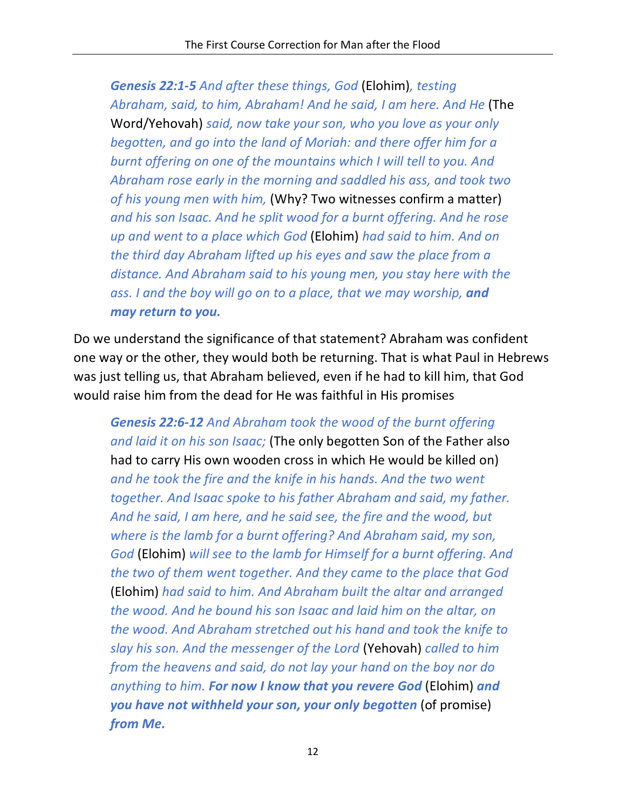*Genesis 22:1-5 And after these things, God* (Elohim)*, testing Abraham, said, to him, Abraham! And he said, I am here. And He* (The Word/Yehovah) *said, now take your son, who you love as your only begotten, and go into the land of Moriah: and there offer him for a burnt offering on one of the mountains which I will tell to you. And Abraham rose early in the morning and saddled his ass, and took two of his young men with him,* (Why? Two witnesses confirm a matter) *and his son Isaac. And he split wood for a burnt offering. And he rose up and went to a place which God* (Elohim) *had said to him. And on the third day Abraham lifted up his eyes and saw the place from a distance. And Abraham said to his young men, you stay here with the*  ass. I and the boy will go on to a place, that we may worship, and *may return to you.*

Do we understand the significance of that statement? Abraham was confident one way or the other, they would both be returning. That is what Paul in Hebrews was just telling us, that Abraham believed, even if he had to kill him, that God would raise him from the dead for He was faithful in His promises

*Genesis 22:6-12 And Abraham took the wood of the burnt offering and laid it on his son Isaac;* (The only begotten Son of the Father also had to carry His own wooden cross in which He would be killed on) *and he took the fire and the knife in his hands. And the two went together. And Isaac spoke to his father Abraham and said, my father. And he said, I am here, and he said see, the fire and the wood, but where is the lamb for a burnt offering? And Abraham said, my son, God* (Elohim) *will see to the lamb for Himself for a burnt offering. And the two of them went together. And they came to the place that God*  (Elohim) *had said to him. And Abraham built the altar and arranged the wood. And he bound his son Isaac and laid him on the altar, on the wood. And Abraham stretched out his hand and took the knife to slay his son. And the messenger of the Lord* (Yehovah) *called to him from the heavens and said, do not lay your hand on the boy nor do anything to him. For now I know that you revere God* (Elohim) *and you have not withheld your son, your only begotten* (of promise) *from Me.*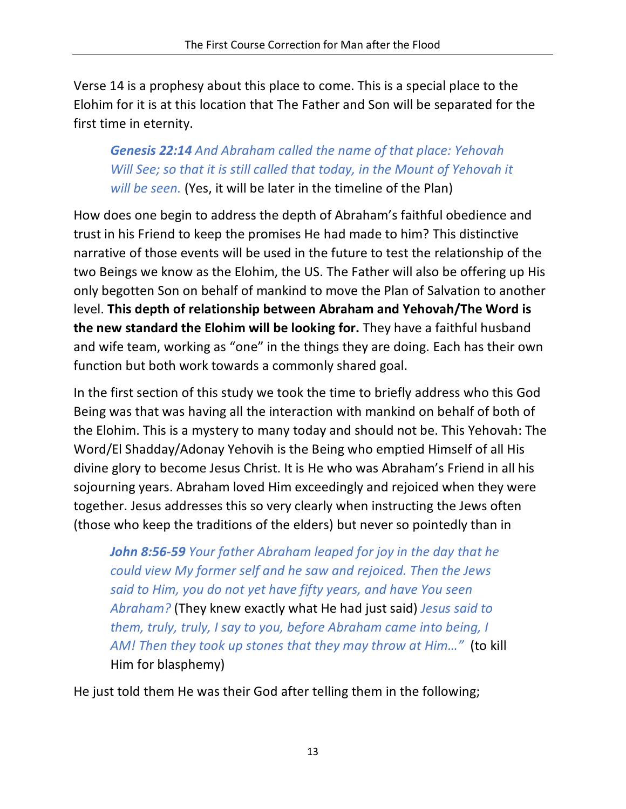Verse 14 is a prophesy about this place to come. This is a special place to the Elohim for it is at this location that The Father and Son will be separated for the first time in eternity.

## *Genesis 22:14 And Abraham called the name of that place: Yehovah Will See; so that it is still called that today, in the Mount of Yehovah it will be seen.* (Yes, it will be later in the timeline of the Plan)

How does one begin to address the depth of Abraham's faithful obedience and trust in his Friend to keep the promises He had made to him? This distinctive narrative of those events will be used in the future to test the relationship of the two Beings we know as the Elohim, the US. The Father will also be offering up His only begotten Son on behalf of mankind to move the Plan of Salvation to another level. **This depth of relationship between Abraham and Yehovah/The Word is the new standard the Elohim will be looking for.** They have a faithful husband and wife team, working as "one" in the things they are doing. Each has their own function but both work towards a commonly shared goal.

In the first section of this study we took the time to briefly address who this God Being was that was having all the interaction with mankind on behalf of both of the Elohim. This is a mystery to many today and should not be. This Yehovah: The Word/El Shadday/Adonay Yehovih is the Being who emptied Himself of all His divine glory to become Jesus Christ. It is He who was Abraham's Friend in all his sojourning years. Abraham loved Him exceedingly and rejoiced when they were together. Jesus addresses this so very clearly when instructing the Jews often (those who keep the traditions of the elders) but never so pointedly than in

*John 8:56-59 Your father Abraham leaped for joy in the day that he could view My former self and he saw and rejoiced. Then the Jews said to Him, you do not yet have fifty years, and have You seen Abraham?* (They knew exactly what He had just said) *Jesus said to them, truly, truly, I say to you, before Abraham came into being, I AM! Then they took up stones that they may throw at Him…"* (to kill Him for blasphemy)

He just told them He was their God after telling them in the following;